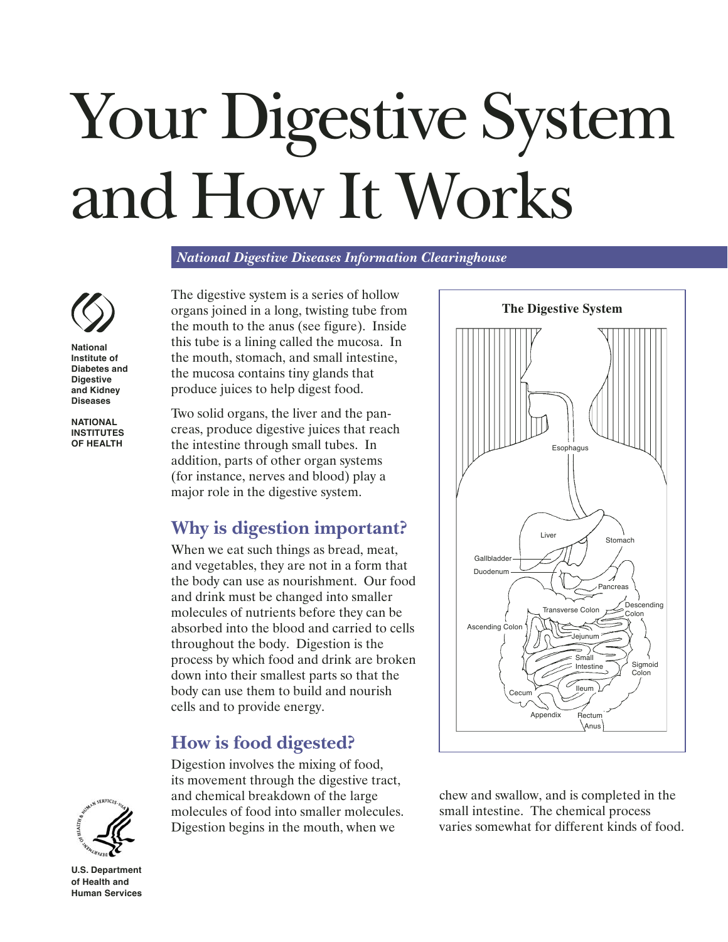# Your Digestive System and How It Works

*National Digestive Diseases Information Clearinghouse*



**National Institute of Diabetes and Digestive and Kidney Diseases**

**NATIONAL INSTITUTES OF HEALTH** The digestive system is a series of hollow organs joined in a long, twisting tube from the mouth to the anus (see figure). Inside this tube is a lining called the mucosa. In the mouth, stomach, and small intestine, the mucosa contains tiny glands that produce juices to help digest food.

Two solid organs, the liver and the pancreas, produce digestive juices that reach the intestine through small tubes. In addition, parts of other organ systems (for instance, nerves and blood) play a major role in the digestive system.

## **Why is digestion important?**

When we eat such things as bread, meat, and vegetables, they are not in a form that the body can use as nourishment. Our food and drink must be changed into smaller molecules of nutrients before they can be absorbed into the blood and carried to cells throughout the body. Digestion is the process by which food and drink are broken down into their smallest parts so that the body can use them to build and nourish cells and to provide energy.

# **How is food digested?**

Digestion involves the mixing of food, its movement through the digestive tract, and chemical breakdown of the large molecules of food into smaller molecules. Digestion begins in the mouth, when we



chew and swallow, and is completed in the small intestine. The chemical process varies somewhat for different kinds of food.



**U.S. Department of Health and Human Services**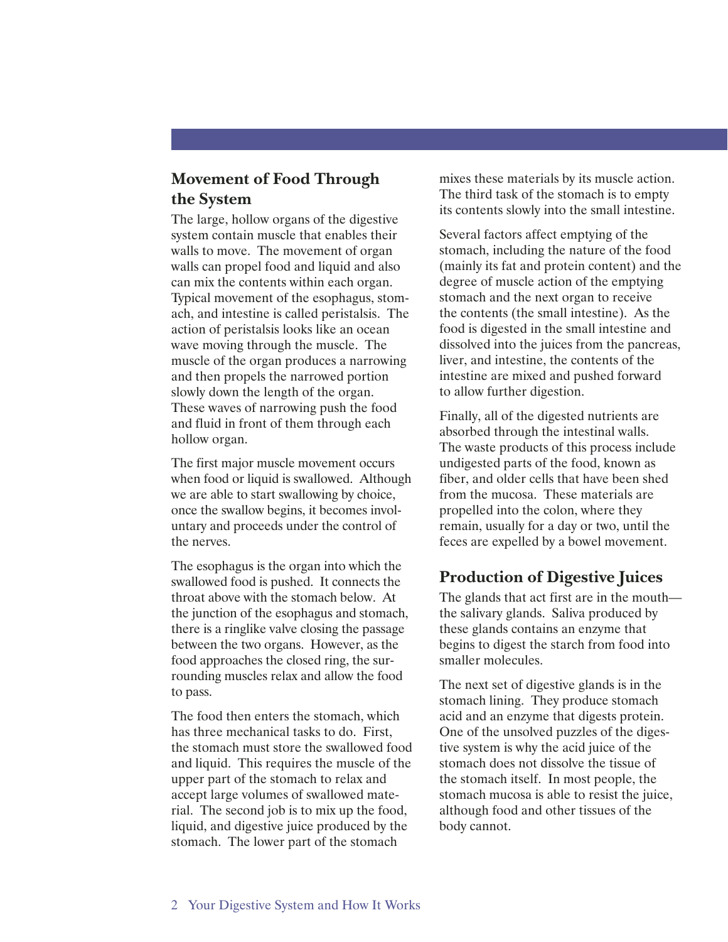## **Movement of Food Through the System**

The large, hollow organs of the digestive system contain muscle that enables their walls to move. The movement of organ walls can propel food and liquid and also can mix the contents within each organ. Typical movement of the esophagus, stomach, and intestine is called peristalsis. The action of peristalsis looks like an ocean wave moving through the muscle. The muscle of the organ produces a narrowing and then propels the narrowed portion slowly down the length of the organ. These waves of narrowing push the food and fluid in front of them through each hollow organ.

The first major muscle movement occurs when food or liquid is swallowed. Although we are able to start swallowing by choice, once the swallow begins, it becomes involuntary and proceeds under the control of the nerves.

The esophagus is the organ into which the swallowed food is pushed. It connects the throat above with the stomach below. At the junction of the esophagus and stomach, there is a ringlike valve closing the passage between the two organs. However, as the food approaches the closed ring, the surrounding muscles relax and allow the food to pass.

The food then enters the stomach, which has three mechanical tasks to do. First, the stomach must store the swallowed food and liquid. This requires the muscle of the upper part of the stomach to relax and accept large volumes of swallowed material. The second job is to mix up the food, liquid, and digestive juice produced by the stomach. The lower part of the stomach

mixes these materials by its muscle action. The third task of the stomach is to empty its contents slowly into the small intestine.

Several factors affect emptying of the stomach, including the nature of the food (mainly its fat and protein content) and the degree of muscle action of the emptying stomach and the next organ to receive the contents (the small intestine). As the food is digested in the small intestine and dissolved into the juices from the pancreas, liver, and intestine, the contents of the intestine are mixed and pushed forward to allow further digestion.

Finally, all of the digested nutrients are absorbed through the intestinal walls. The waste products of this process include undigested parts of the food, known as fiber, and older cells that have been shed from the mucosa. These materials are propelled into the colon, where they remain, usually for a day or two, until the feces are expelled by a bowel movement.

#### **Production of Digestive Juices**

The glands that act first are in the mouth the salivary glands. Saliva produced by these glands contains an enzyme that begins to digest the starch from food into smaller molecules.

The next set of digestive glands is in the stomach lining. They produce stomach acid and an enzyme that digests protein. One of the unsolved puzzles of the digestive system is why the acid juice of the stomach does not dissolve the tissue of the stomach itself. In most people, the stomach mucosa is able to resist the juice, although food and other tissues of the body cannot.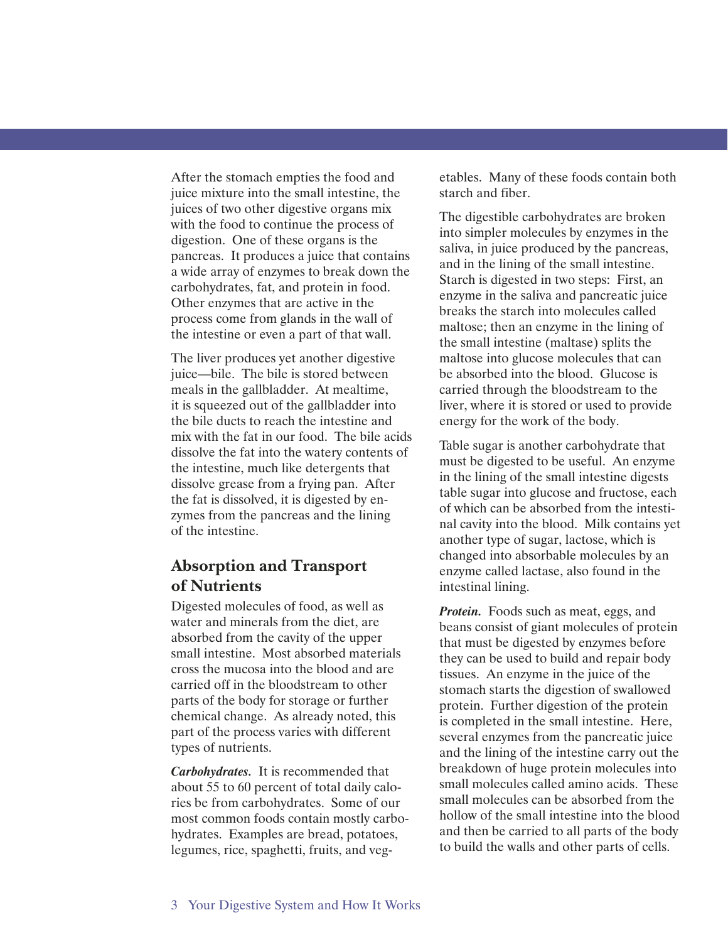After the stomach empties the food and juice mixture into the small intestine, the juices of two other digestive organs mix with the food to continue the process of digestion. One of these organs is the pancreas. It produces a juice that contains a wide array of enzymes to break down the carbohydrates, fat, and protein in food. Other enzymes that are active in the process come from glands in the wall of the intestine or even a part of that wall.

The liver produces yet another digestive juice—bile. The bile is stored between meals in the gallbladder. At mealtime, it is squeezed out of the gallbladder into the bile ducts to reach the intestine and mix with the fat in our food. The bile acids dissolve the fat into the watery contents of the intestine, much like detergents that dissolve grease from a frying pan. After the fat is dissolved, it is digested by enzymes from the pancreas and the lining of the intestine.

### **Absorption and Transport of Nutrients**

Digested molecules of food, as well as water and minerals from the diet, are absorbed from the cavity of the upper small intestine. Most absorbed materials cross the mucosa into the blood and are carried off in the bloodstream to other parts of the body for storage or further chemical change. As already noted, this part of the process varies with different types of nutrients.

*Carbohydrates.* It is recommended that about 55 to 60 percent of total daily calories be from carbohydrates. Some of our most common foods contain mostly carbohydrates. Examples are bread, potatoes, legumes, rice, spaghetti, fruits, and vegetables. Many of these foods contain both starch and fiber.

The digestible carbohydrates are broken into simpler molecules by enzymes in the saliva, in juice produced by the pancreas, and in the lining of the small intestine. Starch is digested in two steps: First, an enzyme in the saliva and pancreatic juice breaks the starch into molecules called maltose; then an enzyme in the lining of the small intestine (maltase) splits the maltose into glucose molecules that can be absorbed into the blood. Glucose is carried through the bloodstream to the liver, where it is stored or used to provide energy for the work of the body.

Table sugar is another carbohydrate that must be digested to be useful. An enzyme in the lining of the small intestine digests table sugar into glucose and fructose, each of which can be absorbed from the intestinal cavity into the blood. Milk contains yet another type of sugar, lactose, which is changed into absorbable molecules by an enzyme called lactase, also found in the intestinal lining.

*Protein.* Foods such as meat, eggs, and beans consist of giant molecules of protein that must be digested by enzymes before they can be used to build and repair body tissues. An enzyme in the juice of the stomach starts the digestion of swallowed protein. Further digestion of the protein is completed in the small intestine. Here, several enzymes from the pancreatic juice and the lining of the intestine carry out the breakdown of huge protein molecules into small molecules called amino acids. These small molecules can be absorbed from the hollow of the small intestine into the blood and then be carried to all parts of the body to build the walls and other parts of cells.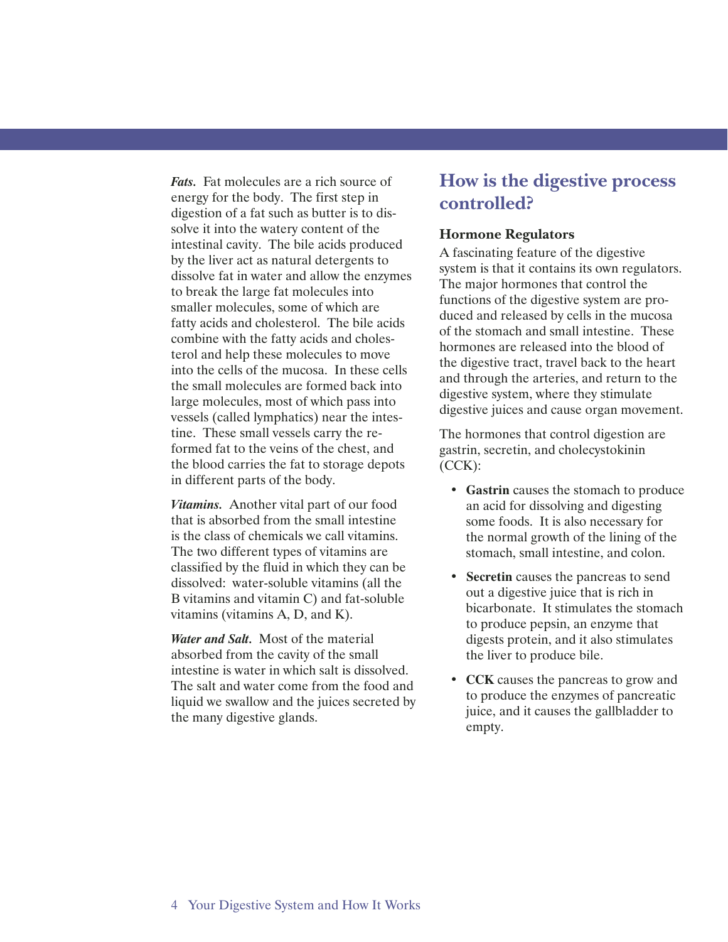*Fats.* Fat molecules are a rich source of energy for the body. The first step in digestion of a fat such as butter is to dissolve it into the watery content of the intestinal cavity. The bile acids produced by the liver act as natural detergents to dissolve fat in water and allow the enzymes to break the large fat molecules into smaller molecules, some of which are fatty acids and cholesterol. The bile acids combine with the fatty acids and cholesterol and help these molecules to move into the cells of the mucosa. In these cells the small molecules are formed back into large molecules, most of which pass into vessels (called lymphatics) near the intestine. These small vessels carry the reformed fat to the veins of the chest, and the blood carries the fat to storage depots in different parts of the body.

*Vitamins.* Another vital part of our food that is absorbed from the small intestine is the class of chemicals we call vitamins. The two different types of vitamins are classified by the fluid in which they can be dissolved: water-soluble vitamins (all the B vitamins and vitamin C) and fat-soluble vitamins (vitamins A, D, and K).

*Water and Salt.* Most of the material absorbed from the cavity of the small intestine is water in which salt is dissolved. The salt and water come from the food and liquid we swallow and the juices secreted by the many digestive glands.

## **How is the digestive process controlled?**

#### **Hormone Regulators**

A fascinating feature of the digestive system is that it contains its own regulators. The major hormones that control the functions of the digestive system are produced and released by cells in the mucosa of the stomach and small intestine. These hormones are released into the blood of the digestive tract, travel back to the heart and through the arteries, and return to the digestive system, where they stimulate digestive juices and cause organ movement.

The hormones that control digestion are gastrin, secretin, and cholecystokinin  $(CCK)$ :

- **Gastrin** causes the stomach to produce an acid for dissolving and digesting some foods. It is also necessary for the normal growth of the lining of the stomach, small intestine, and colon.
- **Secretin** causes the pancreas to send out a digestive juice that is rich in bicarbonate. It stimulates the stomach to produce pepsin, an enzyme that digests protein, and it also stimulates the liver to produce bile.
- **CCK** causes the pancreas to grow and to produce the enzymes of pancreatic juice, and it causes the gallbladder to empty.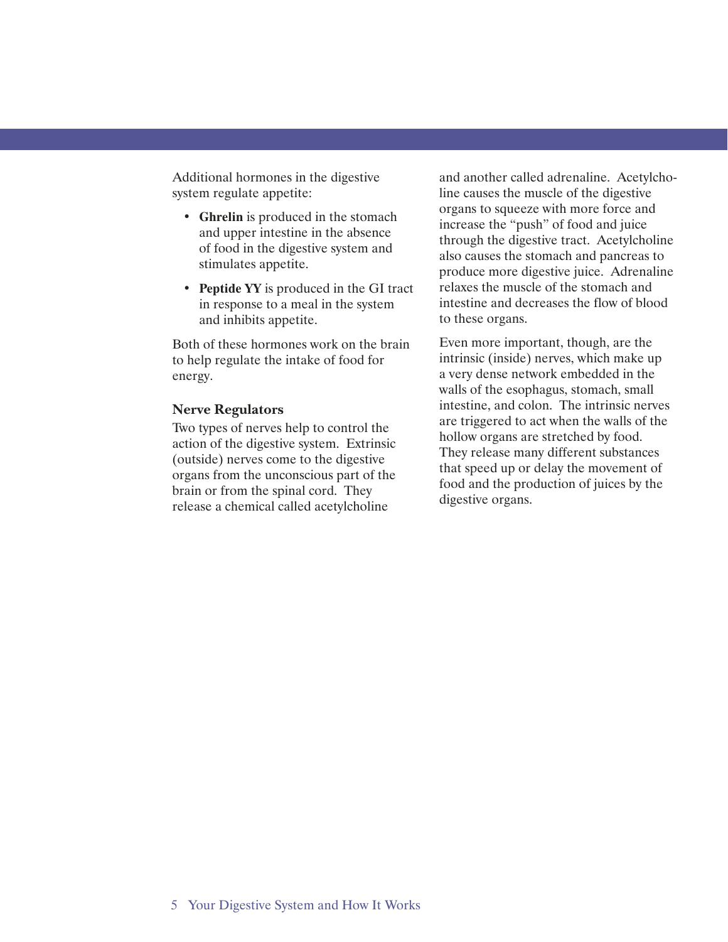Additional hormones in the digestive system regulate appetite:

- **Ghrelin** is produced in the stomach and upper intestine in the absence of food in the digestive system and stimulates appetite.
- **Peptide YY** is produced in the GI tract in response to a meal in the system and inhibits appetite.

Both of these hormones work on the brain to help regulate the intake of food for energy.

#### **Nerve Regulators**

Two types of nerves help to control the action of the digestive system. Extrinsic (outside) nerves come to the digestive organs from the unconscious part of the brain or from the spinal cord. They release a chemical called acetylcholine

and another called adrenaline. Acetylcholine causes the muscle of the digestive organs to squeeze with more force and increase the "push" of food and juice through the digestive tract. Acetylcholine also causes the stomach and pancreas to produce more digestive juice. Adrenaline relaxes the muscle of the stomach and intestine and decreases the flow of blood to these organs.

Even more important, though, are the intrinsic (inside) nerves, which make up a very dense network embedded in the walls of the esophagus, stomach, small intestine, and colon. The intrinsic nerves are triggered to act when the walls of the hollow organs are stretched by food. They release many different substances that speed up or delay the movement of food and the production of juices by the digestive organs.